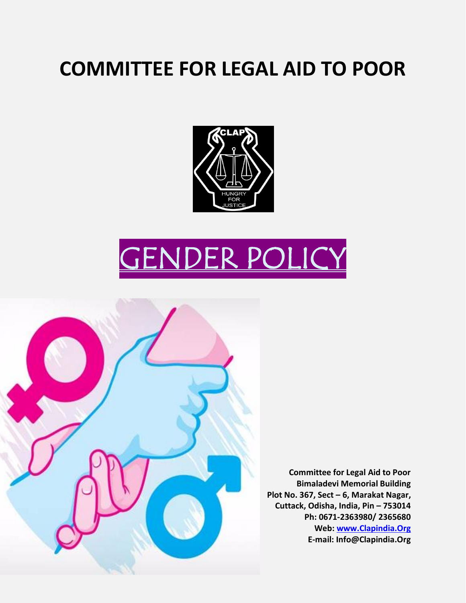# **COMMITTEE FOR LEGAL AID TO POOR**



# GENDER POLICY



**Committee for Legal Aid to Poor Bimaladevi Memorial Building Plot No. 367, Sect – 6, Marakat Nagar, Cuttack, Odisha, India, Pin – 753014 Ph: 0671-2363980/ 2365680 Web: [www.Clapindia.Org](http://www.clapindia.org/) E-mail: Info@Clapindia.Org**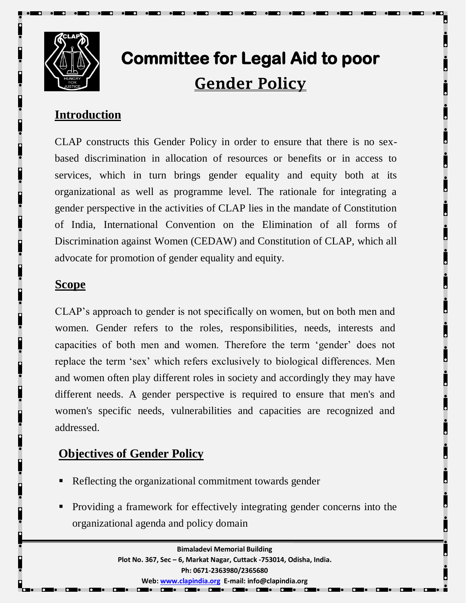

# **Committee for Legal Aid to poor Gender Policy**

# **Introduction**

CLAP constructs this Gender Policy in order to ensure that there is no sexbased discrimination in allocation of resources or benefits or in access to services, which in turn brings gender equality and equity both at its organizational as well as programme level. The rationale for integrating a gender perspective in the activities of CLAP lies in the mandate of Constitution of India, International Convention on the Elimination of all forms of Discrimination against Women (CEDAW) and Constitution of CLAP, which all advocate for promotion of gender equality and equity.

### **Scope**

CLAP's approach to gender is not specifically on women, but on both men and women. Gender refers to the roles, responsibilities, needs, interests and capacities of both men and women. Therefore the term 'gender' does not replace the term 'sex' which refers exclusively to biological differences. Men and women often play different roles in society and accordingly they may have different needs. A gender perspective is required to ensure that men's and women's specific needs, vulnerabilities and capacities are recognized and addressed.

# **Objectives of Gender Policy**

- Reflecting the organizational commitment towards gender
- Providing a framework for effectively integrating gender concerns into the organizational agenda and policy domain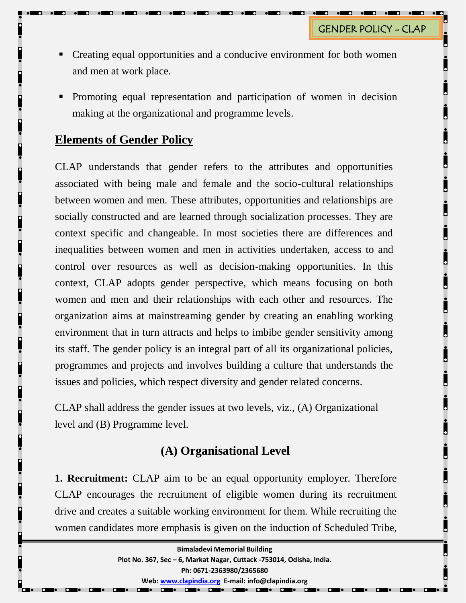- Creating equal opportunities and a conducive environment for both women and men at work place.
- Promoting equal representation and participation of women in decision making at the organizational and programme levels.

#### **Elements of Gender Policy**

CLAP understands that gender refers to the attributes and opportunities associated with being male and female and the socio-cultural relationships between women and men. These attributes, opportunities and relationships are socially constructed and are learned through socialization processes. They are context specific and changeable. In most societies there are differences and inequalities between women and men in activities undertaken, access to and control over resources as well as decision-making opportunities. In this context, CLAP adopts gender perspective, which means focusing on both women and men and their relationships with each other and resources. The organization aims at mainstreaming gender by creating an enabling working environment that in turn attracts and helps to imbibe gender sensitivity among its staff. The gender policy is an integral part of all its organizational policies, programmes and projects and involves building a culture that understands the issues and policies, which respect diversity and gender related concerns.

CLAP shall address the gender issues at two levels, viz., (A) Organizational level and (B) Programme level.

## **(A) Organisational Level**

**1. Recruitment:** CLAP aim to be an equal opportunity employer. Therefore CLAP encourages the recruitment of eligible women during its recruitment drive and creates a suitable working environment for them. While recruiting the women candidates more emphasis is given on the induction of Scheduled Tribe,

| <b>Bimaladevi Memorial Building</b>                                  |
|----------------------------------------------------------------------|
| Plot No. 367, Sec - 6, Markat Nagar, Cuttack -753014, Odisha, India. |
| Ph: 0671-2363980/2365680                                             |
| Web: www.clapindia.org E-mail: info@clapindia.org                    |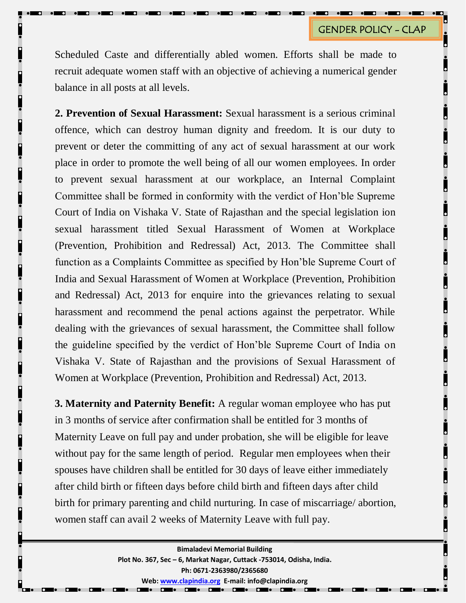Scheduled Caste and differentially abled women. Efforts shall be made to recruit adequate women staff with an objective of achieving a numerical gender balance in all posts at all levels.

**2. Prevention of Sexual Harassment:** Sexual harassment is a serious criminal offence, which can destroy human dignity and freedom. It is our duty to prevent or deter the committing of any act of sexual harassment at our work place in order to promote the well being of all our women employees. In order to prevent sexual harassment at our workplace, an Internal Complaint Committee shall be formed in conformity with the verdict of Hon'ble Supreme Court of India on Vishaka V. State of Rajasthan and the special legislation ion sexual harassment titled Sexual Harassment of Women at Workplace (Prevention, Prohibition and Redressal) Act, 2013. The Committee shall function as a Complaints Committee as specified by Hon'ble Supreme Court of India and Sexual Harassment of Women at Workplace (Prevention, Prohibition and Redressal) Act, 2013 for enquire into the grievances relating to sexual harassment and recommend the penal actions against the perpetrator. While dealing with the grievances of sexual harassment, the Committee shall follow the guideline specified by the verdict of Hon'ble Supreme Court of India on Vishaka V. State of Rajasthan and the provisions of Sexual Harassment of Women at Workplace (Prevention, Prohibition and Redressal) Act, 2013.

**3. Maternity and Paternity Benefit:** A regular woman employee who has put in 3 months of service after confirmation shall be entitled for 3 months of Maternity Leave on full pay and under probation, she will be eligible for leave without pay for the same length of period. Regular men employees when their spouses have children shall be entitled for 30 days of leave either immediately after child birth or fifteen days before child birth and fifteen days after child birth for primary parenting and child nurturing. In case of miscarriage/ abortion, women staff can avail 2 weeks of Maternity Leave with full pay.

> **Bimaladevi Memorial Building Plot No. 367, Sec – 6, Markat Nagar, Cuttack -753014, Odisha, India. Ph: 0671-2363980/2365680 Web[: www.clapindia.org](http://www.clapindia.org/) E-mail: info@clapindia.org**

> > **DEL DEL DEL DEL DE**

 $\overline{ }$ 

 $\overline{a}$ . .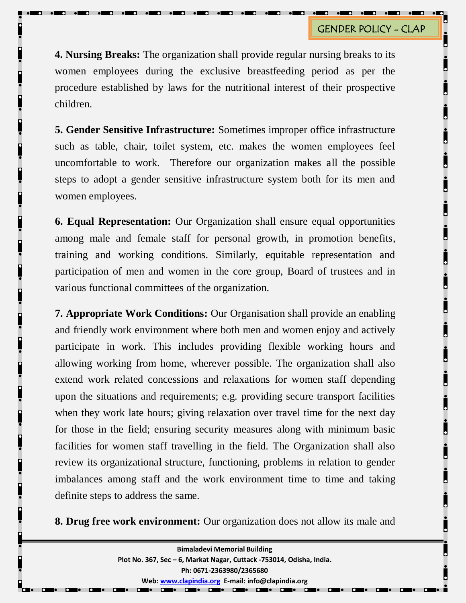**4. Nursing Breaks:** The organization shall provide regular nursing breaks to its women employees during the exclusive breastfeeding period as per the procedure established by laws for the nutritional interest of their prospective children.

**5. Gender Sensitive Infrastructure:** Sometimes improper office infrastructure such as table, chair, toilet system, etc. makes the women employees feel uncomfortable to work. Therefore our organization makes all the possible steps to adopt a gender sensitive infrastructure system both for its men and women employees.

**6. Equal Representation:** Our Organization shall ensure equal opportunities among male and female staff for personal growth, in promotion benefits, training and working conditions. Similarly, equitable representation and participation of men and women in the core group, Board of trustees and in various functional committees of the organization.

**7. Appropriate Work Conditions:** Our Organisation shall provide an enabling and friendly work environment where both men and women enjoy and actively participate in work. This includes providing flexible working hours and allowing working from home, wherever possible. The organization shall also extend work related concessions and relaxations for women staff depending upon the situations and requirements; e.g. providing secure transport facilities when they work late hours; giving relaxation over travel time for the next day for those in the field; ensuring security measures along with minimum basic facilities for women staff travelling in the field. The Organization shall also review its organizational structure, functioning, problems in relation to gender imbalances among staff and the work environment time to time and taking definite steps to address the same.

**8. Drug free work environment:** Our organization does not allow its male and

**Bimaladevi Memorial Building Plot No. 367, Sec – 6, Markat Nagar, Cuttack -753014, Odisha, India. Ph: 0671-2363980/2365680 Web[: www.clapindia.org](http://www.clapindia.org/) E-mail: info@clapindia.org DEL DEL DEL DEL DE**  $\overline{ }$  $\overline{a}$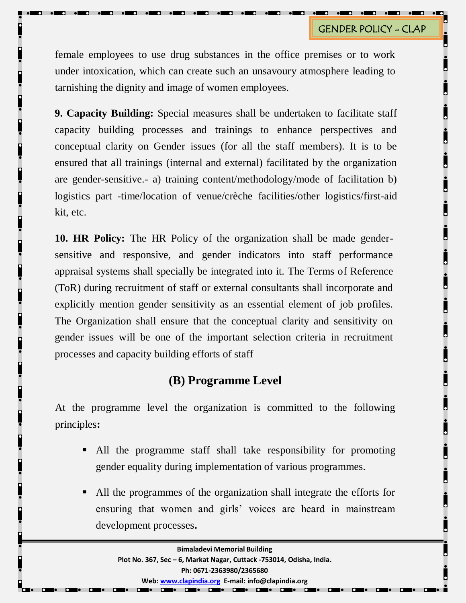female employees to use drug substances in the office premises or to work under intoxication, which can create such an unsavoury atmosphere leading to tarnishing the dignity and image of women employees.

**9. Capacity Building:** Special measures shall be undertaken to facilitate staff capacity building processes and trainings to enhance perspectives and conceptual clarity on Gender issues (for all the staff members). It is to be ensured that all trainings (internal and external) facilitated by the organization are gender-sensitive.- a) training content/methodology/mode of facilitation b) logistics part -time/location of venue/crèche facilities/other logistics/first-aid kit, etc.

**10. HR Policy:** The HR Policy of the organization shall be made gendersensitive and responsive, and gender indicators into staff performance appraisal systems shall specially be integrated into it. The Terms of Reference (ToR) during recruitment of staff or external consultants shall incorporate and explicitly mention gender sensitivity as an essential element of job profiles. The Organization shall ensure that the conceptual clarity and sensitivity on gender issues will be one of the important selection criteria in recruitment processes and capacity building efforts of staff

### **(B) Programme Level**

At the programme level the organization is committed to the following principles**:**

- All the programme staff shall take responsibility for promoting gender equality during implementation of various programmes.
- All the programmes of the organization shall integrate the efforts for ensuring that women and girls' voices are heard in mainstream development processes**.**

 $\mathbf{\Omega}$ 

 $\mathbf{\Omega}$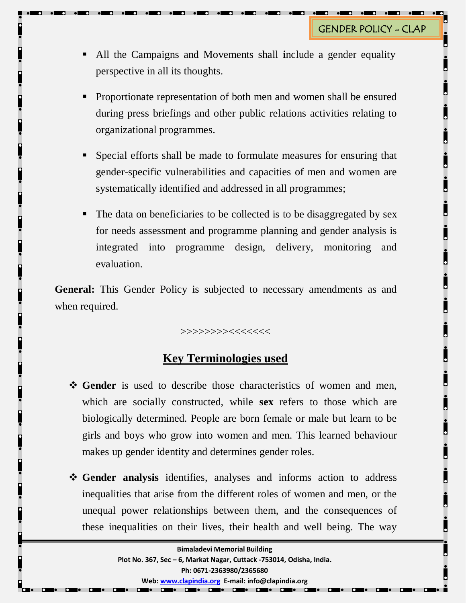- All the Campaigns and Movements shall **i**nclude a gender equality perspective in all its thoughts.
- Proportionate representation of both men and women shall be ensured during press briefings and other public relations activities relating to organizational programmes.
- Special efforts shall be made to formulate measures for ensuring that gender-specific vulnerabilities and capacities of men and women are systematically identified and addressed in all programmes;
- The data on beneficiaries to be collected is to be disaggregated by sex for needs assessment and programme planning and gender analysis is integrated into programme design, delivery, monitoring and evaluation.

**General:** This Gender Policy is subjected to necessary amendments as and when required.

>>>>>>>><<<<<<<

## **Key Terminologies used**

- **Gender** is used to describe those characteristics of women and men, which are socially constructed, while **sex** refers to those which are biologically determined. People are born female or male but learn to be girls and boys who grow into women and men. This learned behaviour makes up gender identity and determines gender roles.
- **Gender analysis** identifies, analyses and informs action to address inequalities that arise from the different roles of women and men, or the unequal power relationships between them, and the consequences of these inequalities on their lives, their health and well being. The way